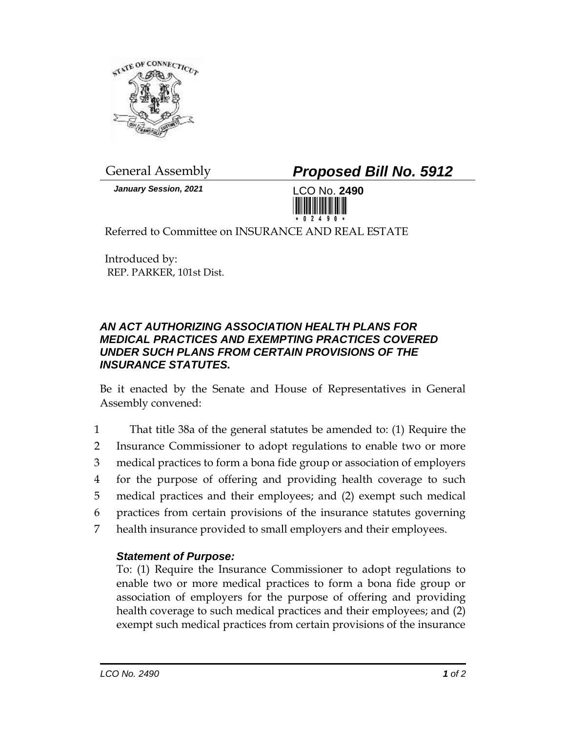

*January Session, 2021* LCO No. **2490**

General Assembly *Proposed Bill No. 5912*



Referred to Committee on INSURANCE AND REAL ESTATE

Introduced by: REP. PARKER, 101st Dist.

## *AN ACT AUTHORIZING ASSOCIATION HEALTH PLANS FOR MEDICAL PRACTICES AND EXEMPTING PRACTICES COVERED UNDER SUCH PLANS FROM CERTAIN PROVISIONS OF THE INSURANCE STATUTES.*

Be it enacted by the Senate and House of Representatives in General Assembly convened:

 That title 38a of the general statutes be amended to: (1) Require the Insurance Commissioner to adopt regulations to enable two or more medical practices to form a bona fide group or association of employers for the purpose of offering and providing health coverage to such medical practices and their employees; and (2) exempt such medical practices from certain provisions of the insurance statutes governing health insurance provided to small employers and their employees.

## *Statement of Purpose:*

To: (1) Require the Insurance Commissioner to adopt regulations to enable two or more medical practices to form a bona fide group or association of employers for the purpose of offering and providing health coverage to such medical practices and their employees; and (2) exempt such medical practices from certain provisions of the insurance